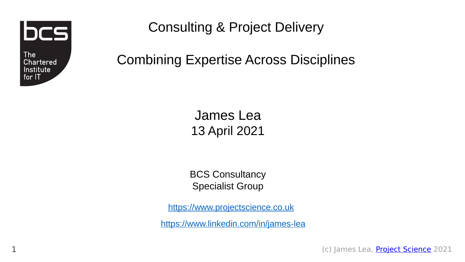bcs

The **Chartered** Institute  $for II$ 

1

Consulting & Project Delivery

Combining Expertise Across Disciplines

James Lea 13 April 2021

BCS Consultancy Specialist Group

[https://www.projectscience.co.uk](https://www.projectscience.co.uk/)

<https://www.linkedin.com/in/james-lea>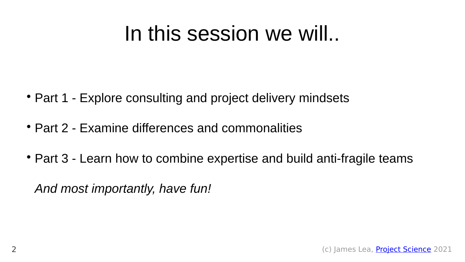## In this session we will..

- Part 1 Explore consulting and project delivery mindsets
- Part 2 Examine differences and commonalities
- Part 3 Learn how to combine expertise and build anti-fragile teams

*And most importantly, have fun!*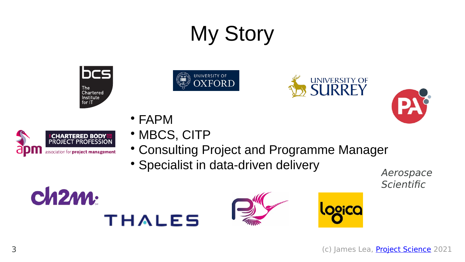# My Story







- FAPM
- MBCS, CITP
- Consulting Project and Programme Manager
- Specialist in data-driven delivery

Aerospace **Scientific** 

PA







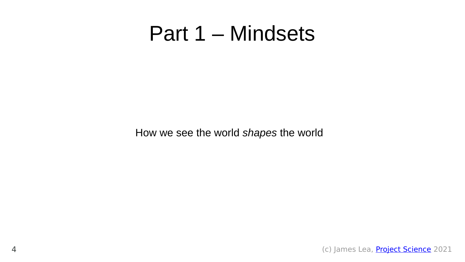#### Part 1 – Mindsets

How we see the world *shapes* the world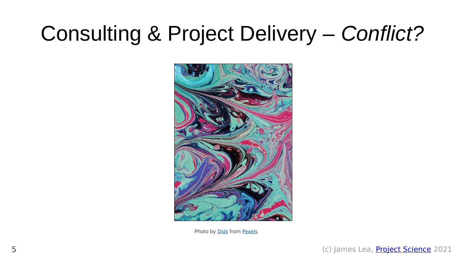# Consulting & Project Delivery – *Conflict?*



Photo by [Dids](https://www.pexels.com/@didsss?utm_content=attributionCopyText&utm_medium=referral&utm_source=pexels) from [Pexels](https://www.pexels.com/photo/colorful-saturated-abstract-background-of-paints-3826328/?utm_content=attributionCopyText&utm_medium=referral&utm_source=pexels)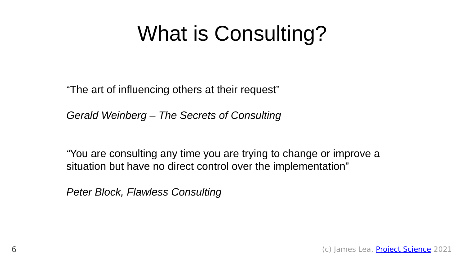# What is Consulting?

"The art of influencing others at their request"

*Gerald Weinberg – The Secrets of Consulting*

*"*You are consulting any time you are trying to change or improve a situation but have no direct control over the implementation"

*Peter Block, Flawless Consulting*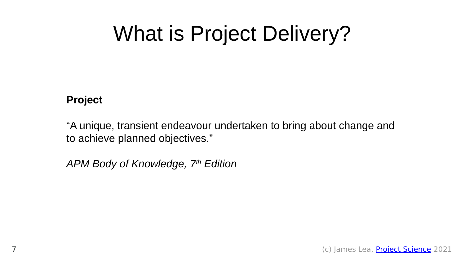# What is Project Delivery?

#### **Project**

"A unique, transient endeavour undertaken to bring about change and to achieve planned objectives."

*APM Body of Knowledge, 7th Edition*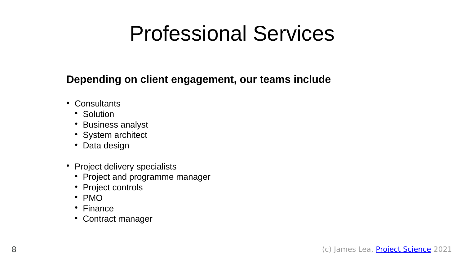# Professional Services

#### **Depending on client engagement, our teams include**

- Consultants
	- Solution
	- Business analyst
	- System architect
	- Data design
- Project delivery specialists
	- Project and programme manager
	- Project controls
	- PMO
	- Finance
	- Contract manager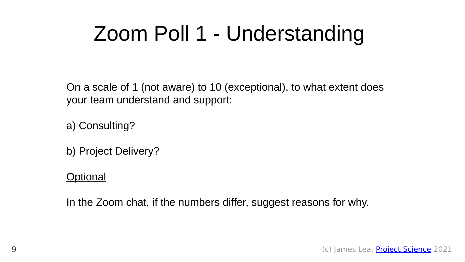# Zoom Poll 1 - Understanding

On a scale of 1 (not aware) to 10 (exceptional), to what extent does your team understand and support:

a) Consulting?

b) Project Delivery?

#### **Optional**

In the Zoom chat, if the numbers differ, suggest reasons for why.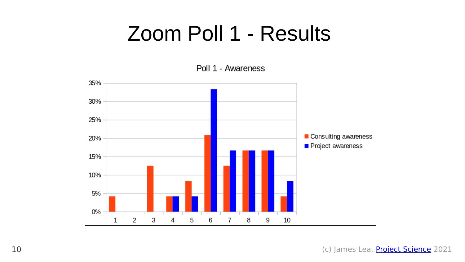## Zoom Poll 1 - Results

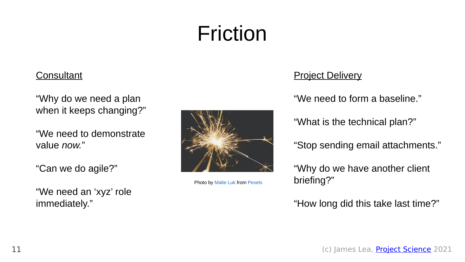# Friction

#### **Consultant**

"Why do we need a plan when it keeps changing?"

"We need to demonstrate value *now.*"

"Can we do agile?"

"We need an 'xyz' role immediately."



Photo by [Malte Luk](https://www.pexels.com/@maltelu?utm_content=attributionCopyText&utm_medium=referral&utm_source=pexels) from [Pexels](https://www.pexels.com/photo/selective-focus-photography-of-spark-1234390/?utm_content=attributionCopyText&utm_medium=referral&utm_source=pexels)

#### **Project Delivery**

"We need to form a baseline."

"What is the technical plan?"

"Stop sending email attachments."

"Why do we have another client briefing?"

"How long did this take last time?"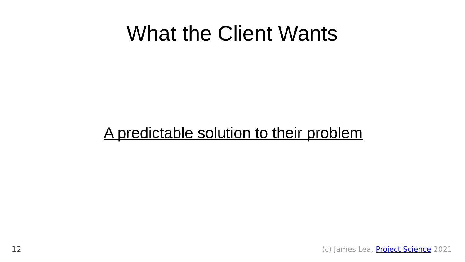### What the Client Wants

#### A predictable solution to their problem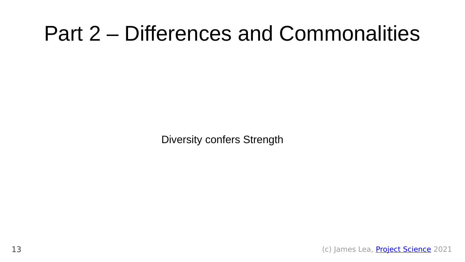## Part 2 – Differences and Commonalities

Diversity confers Strength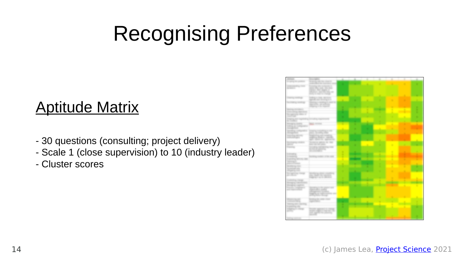# Recognising Preferences

#### Aptitude Matrix

- 30 questions (consulting; project delivery)
- Scale 1 (close supervision) to 10 (industry leader)
- Cluster scores

|                                                       |                                                                        |   |  |   | ٠ |   |
|-------------------------------------------------------|------------------------------------------------------------------------|---|--|---|---|---|
|                                                       | Ministering collection collection of<br>controlled by controlled a     |   |  |   |   |   |
|                                                       | Constitution of the composition of                                     |   |  |   |   |   |
| <b>Screened Co</b>                                    | and the sale the ball.<br>spinster, Mary Magazine of                   |   |  |   |   |   |
|                                                       | Market and Markets and                                                 |   |  |   |   |   |
|                                                       | the country of the country of                                          |   |  |   |   |   |
|                                                       | to the age of the age of the com-<br>age of the control of the company |   |  |   |   |   |
|                                                       | Standard Control of Con-                                               |   |  |   |   |   |
|                                                       | approaches, percentivista<br><b>PERSONAL PROPERTY</b>                  |   |  |   |   |   |
| <b>SECOND CONTRACT</b>                                |                                                                        |   |  |   |   |   |
| Store change sign than                                |                                                                        |   |  |   |   |   |
| the special state is<br><b>CONTRACTOR</b>             |                                                                        |   |  |   |   |   |
| <b>STANDARD AND</b>                                   |                                                                        |   |  |   |   | ٠ |
| <b>Birth Street British</b>                           |                                                                        |   |  |   |   |   |
| Managers, Grante<br>Scale of Contract                 |                                                                        |   |  |   |   |   |
| <b>CONTRACTOR</b>                                     |                                                                        |   |  |   |   |   |
| <b>Statistics</b> can<br><b>Chronological Control</b> | <b>STATISTICS</b>                                                      |   |  |   |   |   |
| hours than 1981.                                      | the other and country                                                  |   |  |   |   |   |
| community agent                                       | angeles Bonico, cancello<br>age, dealers agreement                     |   |  |   |   |   |
| <b>STATISTICS</b>                                     | Technical approach the New                                             |   |  |   |   |   |
| <b>STATISTICS</b><br><b>Contract Contract</b>         | <b>REAL ORD AND ARRAIGN</b>                                            | ٠ |  | ٠ |   |   |
|                                                       | and antisticated proper<br>account provided                            |   |  |   |   |   |
|                                                       | <b>Brooklynder</b>                                                     | n |  | ٠ |   |   |
| <b>CONTRACTOR</b><br><b>Constitution</b>              |                                                                        | ٠ |  | ٠ |   |   |
| <b>CONTRACTOR</b>                                     |                                                                        |   |  |   |   |   |
| <b>Salesman Co.</b><br>press of Nicara                |                                                                        |   |  |   |   |   |
| <b>SECONDATES</b> (CALL)                              |                                                                        |   |  |   |   |   |
| <b>Summer of Calif.</b><br><b>Highland College</b>    |                                                                        |   |  |   |   |   |
| <b>Because Concerns</b>                               | <b>The Second Control</b><br>۰                                         |   |  |   |   |   |
| and the con-                                          | the chart to secure.<br>the party of the Common                        |   |  |   |   |   |
| comments of contrast.                                 |                                                                        |   |  |   |   |   |
| Micrographic Controllers                              |                                                                        |   |  |   |   |   |
| Managers, comments<br>Procedure completely and        |                                                                        |   |  |   |   |   |
| SAN PARTIES OF THE ART                                | <b>Specialists</b> and it.                                             |   |  |   |   |   |
|                                                       | allows a company of the company of                                     |   |  |   |   |   |
|                                                       | 20. LE                                                                 |   |  |   |   |   |
|                                                       | <b>Brooking the car</b>                                                |   |  |   |   |   |
| <b>CONTRACTOR</b>                                     | <b>CONTRACTOR</b>                                                      |   |  |   |   |   |
| cannot begin date.                                    |                                                                        |   |  |   |   |   |
|                                                       | and the subgrass to the control of                                     |   |  |   |   |   |
|                                                       | and approve the presence.                                              |   |  |   |   |   |
|                                                       |                                                                        |   |  |   |   |   |
|                                                       |                                                                        |   |  |   |   |   |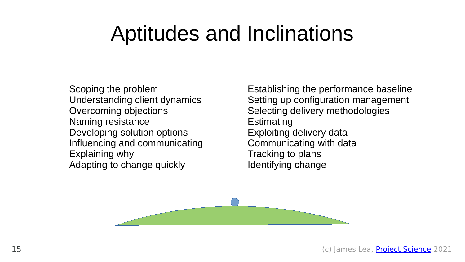## Aptitudes and Inclinations

Scoping the problem Understanding client dynamics Overcoming objections Naming resistance Developing solution options Influencing and communicating Explaining why Adapting to change quickly

Establishing the performance baseline Setting up configuration management Selecting delivery methodologies **Estimating** Exploiting delivery data Communicating with data Tracking to plans Identifying change

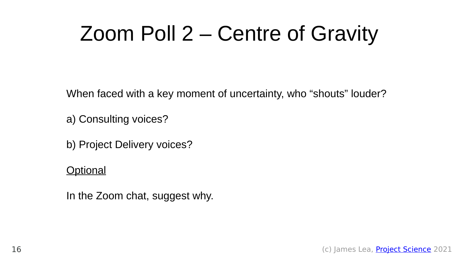# Zoom Poll 2 – Centre of Gravity

When faced with a key moment of uncertainty, who "shouts" louder?

a) Consulting voices?

b) Project Delivery voices?

#### **Optional**

In the Zoom chat, suggest why.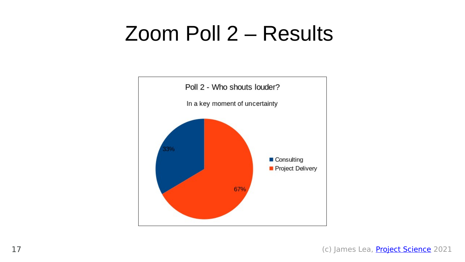### Zoom Poll 2 – Results

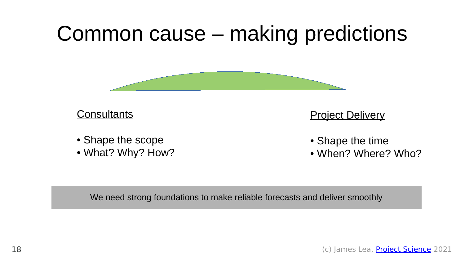



**Consultants** 

- Shape the scope
- What? Why? How?

**Project Delivery** 

- Shape the time
- When? Where? Who?

We need strong foundations to make reliable forecasts and deliver smoothly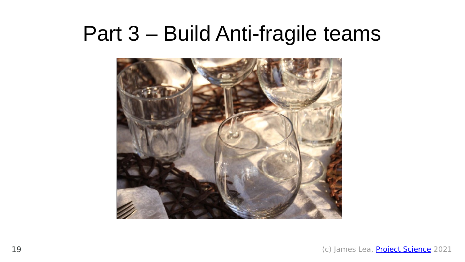### Part 3 – Build Anti-fragile teams

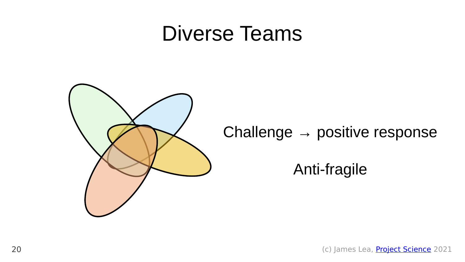#### Diverse Teams



#### Challenge  $\rightarrow$  positive response

#### Anti-fragile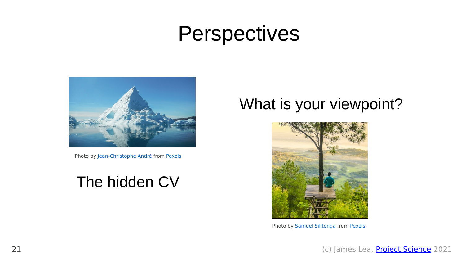### Perspectives



Photo by [Jean-Christophe André](https://www.pexels.com/@jean-christophe-andre-1336424?utm_content=attributionCopyText&utm_medium=referral&utm_source=pexels) from [Pexels](https://www.pexels.com/photo/iceberg-2574997/?utm_content=attributionCopyText&utm_medium=referral&utm_source=pexels)

#### The hidden CV

#### What is your viewpoint?



Photo by **Samuel Silitonga** from **Pexels**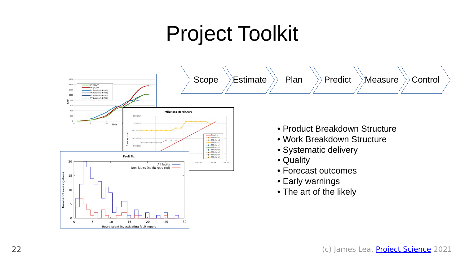# Project Toolkit

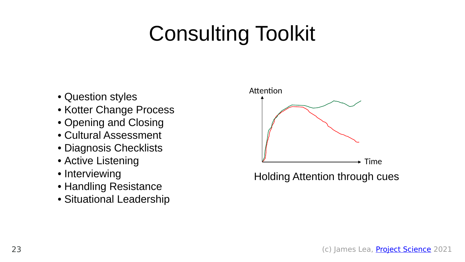# Consulting Toolkit

- Question styles
- Kotter Change Process
- Opening and Closing
- Cultural Assessment
- Diagnosis Checklists
- Active Listening
- Interviewing
- Handling Resistance
- Situational Leadership



Holding Attention through cues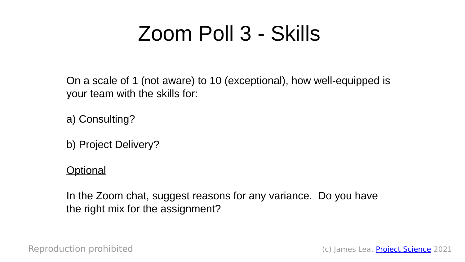# Zoom Poll 3 - Skills

On a scale of 1 (not aware) to 10 (exceptional), how well-equipped is your team with the skills for:

a) Consulting?

b) Project Delivery?

**Optional** 

In the Zoom chat, suggest reasons for any variance. Do you have the right mix for the assignment?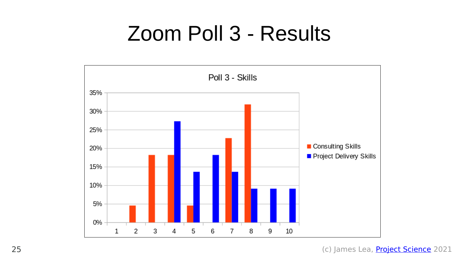### Zoom Poll 3 - Results

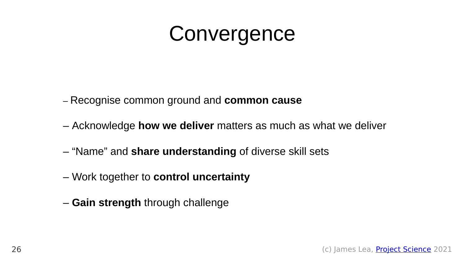### **Convergence**

– Recognise common ground and **common cause**

- Acknowledge **how we deliver** matters as much as what we deliver
- "Name" and **share understanding** of diverse skill sets
- Work together to **control uncertainty**
- **Gain strength** through challenge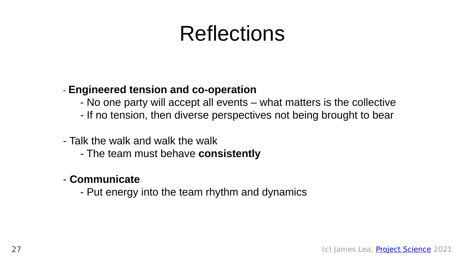# Reflections

#### - **Engineered tension and co-operation**

- No one party will accept all events what matters is the collective
- If no tension, then diverse perspectives not being brought to bear
- Talk the walk and walk the walk
	- The team must behave **consistently**

#### - **Communicate**

- Put energy into the team rhythm and dynamics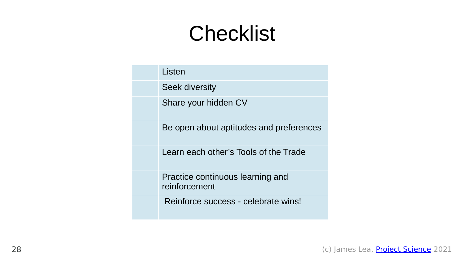# Checklist

| Listen                                            |
|---------------------------------------------------|
| Seek diversity                                    |
| Share your hidden CV                              |
| Be open about aptitudes and preferences           |
| Learn each other's Tools of the Trade             |
| Practice continuous learning and<br>reinforcement |
| Reinforce success - celebrate wins!               |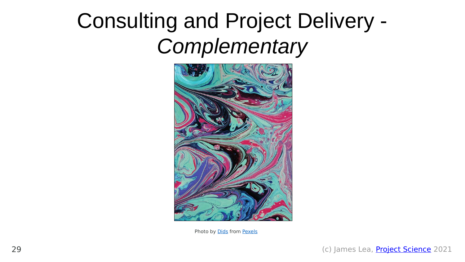# Consulting and Project Delivery - *Complementary*



Photo by **Dids** from **Pexels**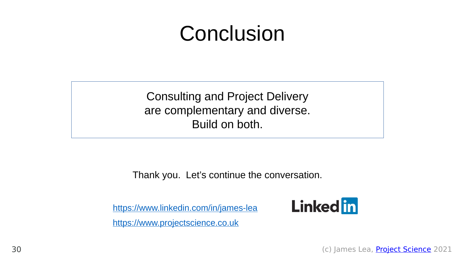# Conclusion

Consulting and Project Delivery are complementary and diverse. Build on both.

Thank you. Let's continue the conversation.

<https://www.linkedin.com/in/james-lea> [https://www.projectscience.co.uk](https://www.projectscience.co.uk/)